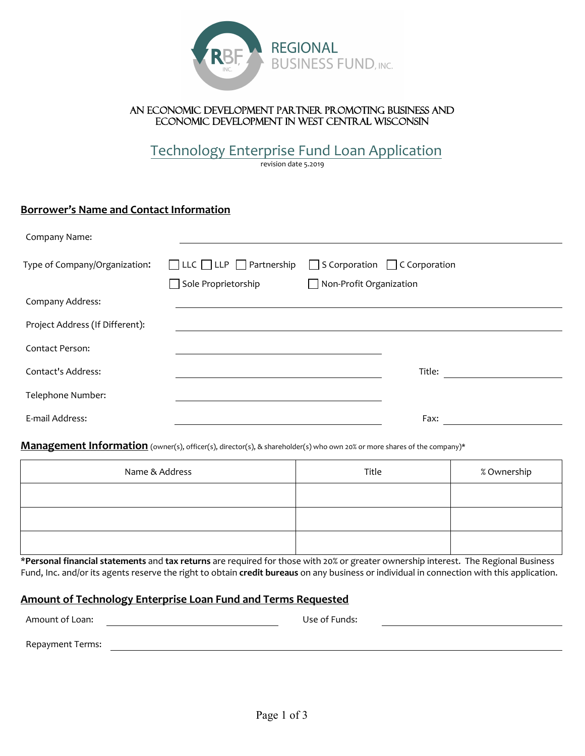

## An economic development partner promoting business and economic development in west central Wisconsin

Technology Enterprise Fund Loan Application

revision date 5.2019

# **Borrower's Name and Contact Information**

| Company Name:                   |                                                                 |                                                                      |  |
|---------------------------------|-----------------------------------------------------------------|----------------------------------------------------------------------|--|
| Type of Company/Organization:   | $\Box$ LLC $\Box$ LLP $\Box$ Partnership<br>Sole Proprietorship | $\Box$ S Corporation $\Box$ C Corporation<br>Non-Profit Organization |  |
| Company Address:                |                                                                 |                                                                      |  |
| Project Address (If Different): |                                                                 |                                                                      |  |
| Contact Person:                 |                                                                 |                                                                      |  |
| <b>Contact's Address:</b>       |                                                                 | Title:                                                               |  |
| Telephone Number:               |                                                                 |                                                                      |  |
| E-mail Address:                 |                                                                 | Fax:                                                                 |  |

## **Management Information** (owner(s), officer(s), director(s), & shareholder(s) who own 20% or more shares of the company)\*

| Name & Address | Title | % Ownership |
|----------------|-------|-------------|
|                |       |             |
|                |       |             |
|                |       |             |

\***Personal financial statements** and **tax returns** are required for those with 20% or greater ownership interest. The Regional Business Fund, Inc. and/or its agents reserve the right to obtain **credit bureaus** on any business or individual in connection with this application.

# **Amount of Technology Enterprise Loan Fund and Terms Requested**

| Amount of Loan:  | Use of Funds: |
|------------------|---------------|
| Repayment Terms: |               |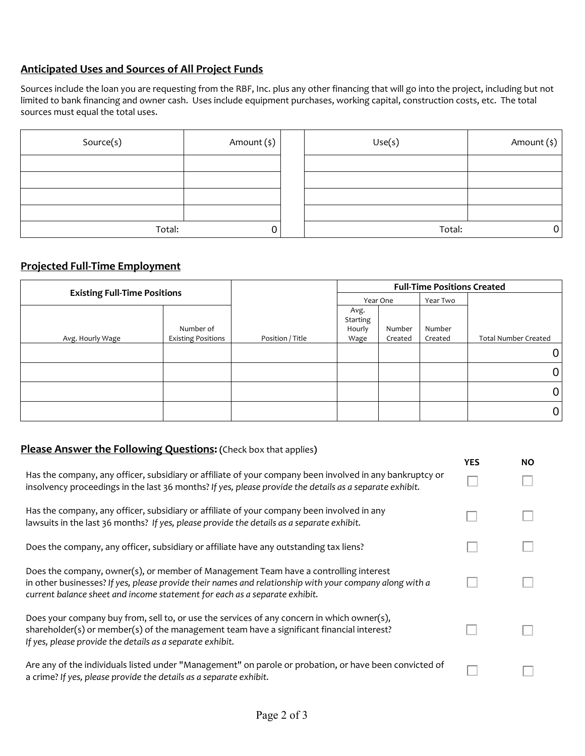# **Anticipated Uses and Sources of All Project Funds**

Sources include the loan you are requesting from the RBF, Inc. plus any other financing that will go into the project, including but not limited to bank financing and owner cash. Uses include equipment purchases, working capital, construction costs, etc. The total sources must equal the total uses.

| Source(s) | Amount (\$) | Use(s) | Amount (\$) |
|-----------|-------------|--------|-------------|
|           |             |        |             |
|           |             |        |             |
|           |             |        |             |
|           |             |        |             |
| Total:    |             | Total: |             |

## **Projected Full‐Time Employment**

| <b>Existing Full-Time Positions</b> |                                        |                  | <b>Full-Time Positions Created</b> |                   |                   |                             |
|-------------------------------------|----------------------------------------|------------------|------------------------------------|-------------------|-------------------|-----------------------------|
|                                     |                                        |                  |                                    | Year One          | Year Two          |                             |
| Avg. Hourly Wage                    | Number of<br><b>Existing Positions</b> | Position / Title | Avg.<br>Starting<br>Hourly<br>Wage | Number<br>Created | Number<br>Created | <b>Total Number Created</b> |
|                                     |                                        |                  |                                    |                   |                   | 0                           |
|                                     |                                        |                  |                                    |                   |                   | 0                           |
|                                     |                                        |                  |                                    |                   |                   | 0                           |
|                                     |                                        |                  |                                    |                   |                   | 0                           |

# **Please Answer the Following Questions: (**Check box that applies**)**

|                                                                                                                                                                                                                                                                               | <b>YES</b> | <b>NO</b> |
|-------------------------------------------------------------------------------------------------------------------------------------------------------------------------------------------------------------------------------------------------------------------------------|------------|-----------|
| Has the company, any officer, subsidiary or affiliate of your company been involved in any bankruptcy or<br>insolvency proceedings in the last 36 months? If yes, please provide the details as a separate exhibit.                                                           |            |           |
| Has the company, any officer, subsidiary or affiliate of your company been involved in any<br>lawsuits in the last 36 months? If yes, please provide the details as a separate exhibit.                                                                                       |            |           |
| Does the company, any officer, subsidiary or affiliate have any outstanding tax liens?                                                                                                                                                                                        |            |           |
| Does the company, owner(s), or member of Management Team have a controlling interest<br>in other businesses? If yes, please provide their names and relationship with your company along with a<br>current balance sheet and income statement for each as a separate exhibit. |            |           |
| Does your company buy from, sell to, or use the services of any concern in which owner(s),<br>shareholder(s) or member(s) of the management team have a significant financial interest?<br>If yes, please provide the details as a separate exhibit.                          |            |           |
| Are any of the individuals listed under "Management" on parole or probation, or have been convicted of<br>a crime? If yes, please provide the details as a separate exhibit.                                                                                                  |            |           |